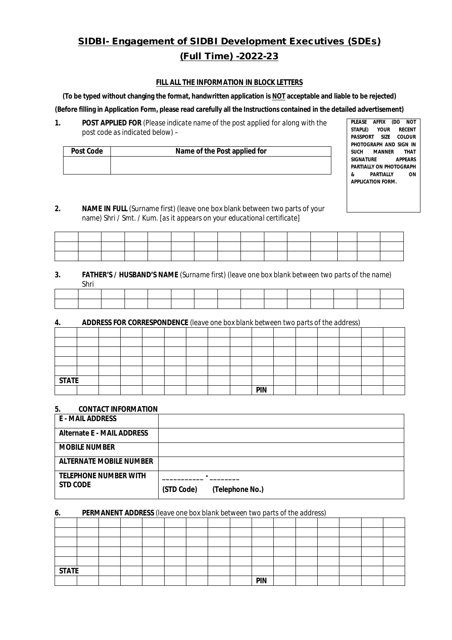# **SIDBI- Engagement of SIDBI Development Executives (SDEs) (Full Time) -2022-23**

#### **FILL ALL THE INFORMATION IN BLOCK LETTERS**

**(To be typed without changing the format, handwritten application is NOT acceptable and liable to be rejected)**

**(Before filling in Application Form, please read carefully all the Instructions contained in the detailed advertisement)**

**1. POST APPLIED FOR** *(Please indicate name of the post applied for along with the post code as indicated below)* –

| <b>Post Code</b> | Name of the Post applied for |
|------------------|------------------------------|
|                  |                              |
|                  |                              |

**PLEASE AFFIX (DO NOT STAPLE) YOUR RECENT PASSPORT SIZE PHOTOGRAPH AND SIGN IN SUCH MANNER THAT SIGNATURE APPEARS PARTIALLY ON PHOTOGRAPH & PARTIALLY ON APPLICATION FORM.**

*2.* **NAME IN FULL** (Surname first) (leave one box blank between two parts of your name) Shri / Smt. / Kum. *[as it appears on your educational certificate]*

|                                                 |  |  |  | the contract of the contract of the contract of the contract of |  |  |                          |
|-------------------------------------------------|--|--|--|-----------------------------------------------------------------|--|--|--------------------------|
| the contract of the contract of the contract of |  |  |  |                                                                 |  |  | the contract of the con- |
|                                                 |  |  |  |                                                                 |  |  |                          |

#### *3.* **FATHER'S / HUSBAND'S NAME** *(Surname first) (leave one box blank between two parts of the name)* Shri

| . |  |  |  |  |  |  |  |  |  |  |  |  |
|---|--|--|--|--|--|--|--|--|--|--|--|--|
|   |  |  |  |  |  |  |  |  |  |  |  |  |
|   |  |  |  |  |  |  |  |  |  |  |  |  |
|   |  |  |  |  |  |  |  |  |  |  |  |  |
|   |  |  |  |  |  |  |  |  |  |  |  |  |
|   |  |  |  |  |  |  |  |  |  |  |  |  |
|   |  |  |  |  |  |  |  |  |  |  |  |  |

## **4. ADDRESS FOR CORRESPONDENCE** *(leave one box blank between two parts of the address)*

| <b>STATE</b> |  |  |  |  |            |  |  |  |
|--------------|--|--|--|--|------------|--|--|--|
|              |  |  |  |  | <b>PIN</b> |  |  |  |

## **5. CONTACT INFORMATION**

| <b>E - MAIL ADDRESS</b>           |                               |
|-----------------------------------|-------------------------------|
| <b>Alternate E - MAIL ADDRESS</b> |                               |
| <b>MOBILE NUMBER</b>              |                               |
| <b>ALTERNATE MOBILE NUMBER</b>    |                               |
| <b>TELEPHONE NUMBER WITH</b>      |                               |
| <b>STD CODE</b>                   | (STD Code)<br>(Telephone No.) |

#### *6.* **PERMANENT ADDRESS** *(leave one box blank between two parts of the address)*

| <b>STATE</b> |  |  |  |  |            |  |  |  |
|--------------|--|--|--|--|------------|--|--|--|
|              |  |  |  |  | <b>PIN</b> |  |  |  |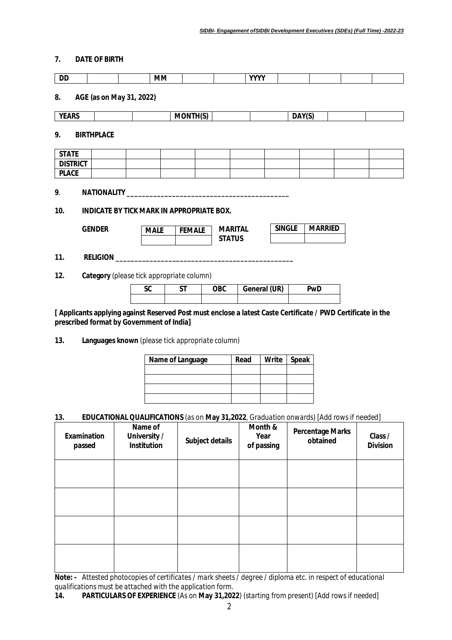## **7. DATE OF BIRTH**

| <b>DD</b>       |                                                                  |                   |                          | <b>MM</b>   |                                           |                                 | <b>YYYY</b>  |               |        |                |                                                                                                              |  |
|-----------------|------------------------------------------------------------------|-------------------|--------------------------|-------------|-------------------------------------------|---------------------------------|--------------|---------------|--------|----------------|--------------------------------------------------------------------------------------------------------------|--|
| 8.              |                                                                  |                   | AGE (as on May 31, 2022) |             |                                           |                                 |              |               |        |                |                                                                                                              |  |
| <b>YEARS</b>    |                                                                  |                   |                          |             | <b>MONTH(S)</b>                           |                                 |              |               | DAY(S) |                |                                                                                                              |  |
| 9.              |                                                                  | <b>BIRTHPLACE</b> |                          |             |                                           |                                 |              |               |        |                |                                                                                                              |  |
| <b>STATE</b>    |                                                                  |                   |                          |             |                                           |                                 |              |               |        |                |                                                                                                              |  |
| <b>DISTRICT</b> |                                                                  |                   |                          |             |                                           |                                 |              |               |        |                |                                                                                                              |  |
| <b>PLACE</b>    |                                                                  |                   |                          |             |                                           |                                 |              |               |        |                |                                                                                                              |  |
| 9.<br>10.       | NATIONALITY_<br><b>INDICATE BY TICK MARK IN APPROPRIATE BOX.</b> |                   |                          |             |                                           |                                 |              |               |        |                |                                                                                                              |  |
|                 | <b>GENDER</b>                                                    |                   |                          | <b>MALE</b> | <b>FEMALE</b>                             | <b>MARITAL</b><br><b>STATUS</b> |              | <b>SINGLE</b> |        | <b>MARRIED</b> |                                                                                                              |  |
| 11.             |                                                                  | <b>RELIGION</b>   |                          |             |                                           |                                 |              |               |        |                |                                                                                                              |  |
| 12.             |                                                                  |                   |                          |             | Category (please tick appropriate column) |                                 |              |               |        |                |                                                                                                              |  |
|                 |                                                                  |                   | <b>SC</b>                |             | <b>ST</b>                                 | <b>OBC</b>                      | General (UR) |               |        | PwD            |                                                                                                              |  |
|                 |                                                                  |                   |                          |             |                                           |                                 |              |               |        |                |                                                                                                              |  |
|                 |                                                                  |                   |                          |             |                                           |                                 |              |               |        |                | [ Applicants applying against Reserved Post must enclose a latest Caste Certificate / PWD Certificate in the |  |

**prescribed format by Government of India]**

**13. Languages known** *(please tick appropriate column)*

| Name of Language | Read | Write Speak |
|------------------|------|-------------|
|                  |      |             |
|                  |      |             |
|                  |      |             |
|                  |      |             |

### **13. EDUCATIONAL QUALIFICATIONS** *(as on* **May 31,2022***, Graduation onwards) [Add rows if needed]*

| Examination<br>passed | Name of<br>University /<br><b>Institution</b> | Subject details | Month &<br>Year<br>of passing | <b>Percentage Marks</b><br>obtained | Class /<br><b>Division</b> |
|-----------------------|-----------------------------------------------|-----------------|-------------------------------|-------------------------------------|----------------------------|
|                       |                                               |                 |                               |                                     |                            |
|                       |                                               |                 |                               |                                     |                            |
|                       |                                               |                 |                               |                                     |                            |
|                       |                                               |                 |                               |                                     |                            |

**Note: -** *Attested photocopies of certificates / mark sheets / degree / diploma etc. in respect of educational qualifications must be attached with the application form.*

**<sup>14.</sup> PARTICULARS OF EXPERIENCE** *(As on* **May 31,2022***) (starting from present) [Add rows if needed]*